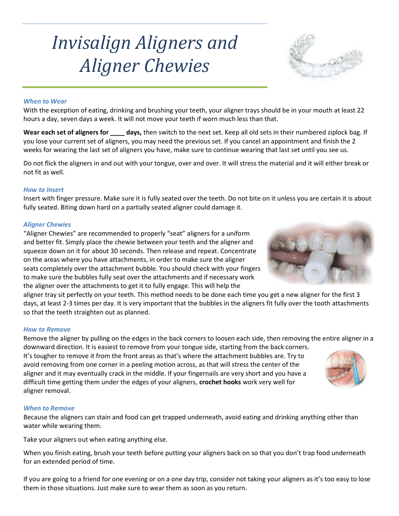# Invisalign Aligners and Aligner Chewies

# When to Wear

With the exception of eating, drinking and brushing your teeth, your aligner trays should be in your mouth at least 22 hours a day, seven days a week. It will not move your teeth if worn much less than that.

Wear each set of aligners for \_\_\_\_ days, then switch to the next set. Keep all old sets in their numbered ziplock bag. If you lose your current set of aligners, you may need the previous set. If you cancel an appointment and finish the 2 weeks for wearing the last set of aligners you have, make sure to continue wearing that last set until you see us.

Do not flick the aligners in and out with your tongue, over and over. It will stress the material and it will either break or not fit as well.

#### How to Insert

Insert with finger pressure. Make sure it is fully seated over the teeth. Do not bite on it unless you are certain it is about fully seated. Biting down hard on a partially seated aligner could damage it.

#### Aligner Chewies

"Aligner Chewies" are recommended to properly "seat" aligners for a uniform and better fit. Simply place the chewie between your teeth and the aligner and squeeze down on it for about 30 seconds. Then release and repeat. Concentrate on the areas where you have attachments, in order to make sure the aligner seats completely over the attachment bubble. You should check with your fingers to make sure the bubbles fully seat over the attachments and if necessary work the aligner over the attachments to get it to fully engage. This will help the

aligner tray sit perfectly on your teeth. This method needs to be done each time you get a new aligner for the first 3 days, at least 2-3 times per day. It is very important that the bubbles in the aligners fit fully over the tooth attachments so that the teeth straighten out as planned.

#### How to Remove

Remove the aligner by pulling on the edges in the back corners to loosen each side, then removing the entire aligner in a downward direction. It is easiest to remove from your tongue side, starting from the back corners.

It's tougher to remove it from the front areas as that's where the attachment bubbles are. Try to avoid removing from one corner in a peeling motion across, as that will stress the center of the aligner and it may eventually crack in the middle. If your fingernails are very short and you have a difficult time getting them under the edges of your aligners, crochet hooks work very well for aligner removal.

#### When to Remove

Because the aligners can stain and food can get trapped underneath, avoid eating and drinking anything other than water while wearing them.

Take your aligners out when eating anything else.

When you finish eating, brush your teeth before putting your aligners back on so that you don't trap food underneath for an extended period of time.

If you are going to a friend for one evening or on a one day trip, consider not taking your aligners as it's too easy to lose them in those situations. Just make sure to wear them as soon as you return.